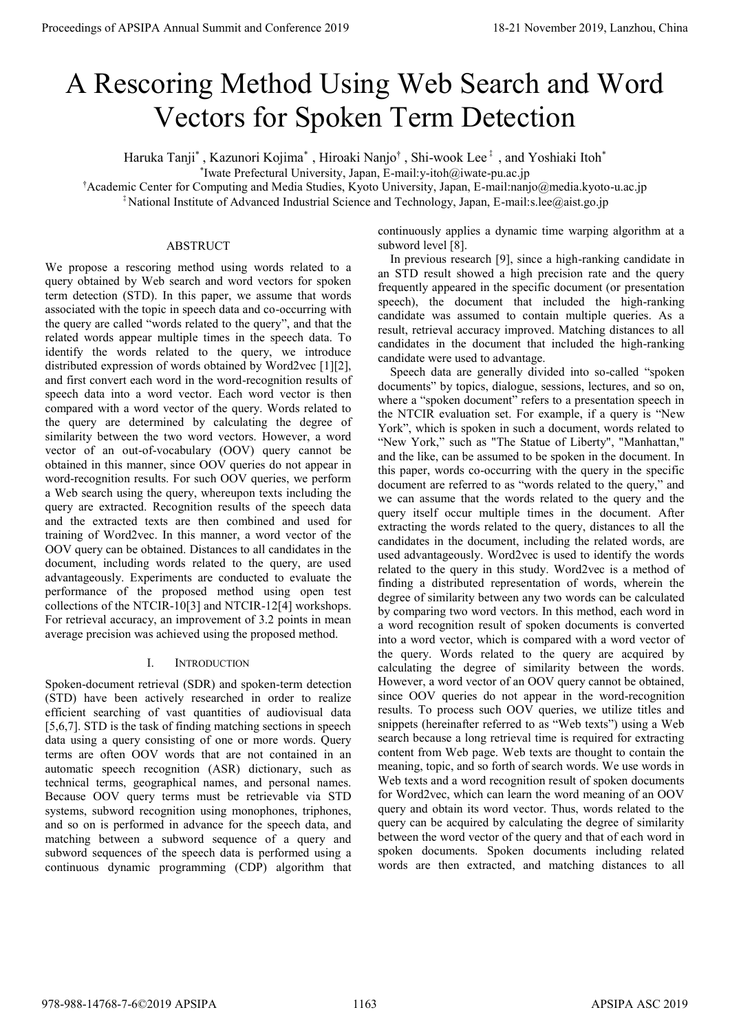# A Rescoring Method Using Web Search and Word Vectors for Spoken Term Detection

Haruka Tanji\*, Kazunori Kojima\*, Hiroaki Nanjo†, Shi-wook Lee‡, and Yoshiaki Itoh\*

\* Iwate Prefectural University, Japan, E-mail:y-itoh@iwate-pu.ac.jp

†Academic Center for Computing and Media Studies, Kyoto University, Japan, E-mail:nanjo@media.kyoto-u.ac.jp

‡National Institute of Advanced Industrial Science and Technology, Japan, E-mail:s.lee@aist.go.jp

## ABSTRUCT

We propose a rescoring method using words related to a query obtained by Web search and word vectors for spoken term detection (STD). In this paper, we assume that words associated with the topic in speech data and co-occurring with the query are called "words related to the query", and that the related words appear multiple times in the speech data. To identify the words related to the query, we introduce distributed expression of words obtained by Word2vec [1][2], and first convert each word in the word-recognition results of speech data into a word vector. Each word vector is then compared with a word vector of the query. Words related to the query are determined by calculating the degree of similarity between the two word vectors. However, a word vector of an out-of-vocabulary (OOV) query cannot be obtained in this manner, since OOV queries do not appear in word-recognition results. For such OOV queries, we perform a Web search using the query, whereupon texts including the query are extracted. Recognition results of the speech data and the extracted texts are then combined and used for training of Word2vec. In this manner, a word vector of the OOV query can be obtained. Distances to all candidates in the document, including words related to the query, are used advantageously. Experiments are conducted to evaluate the performance of the proposed method using open test collections of the NTCIR-10[3] and NTCIR-12[4] workshops. For retrieval accuracy, an improvement of 3.2 points in mean average precision was achieved using the proposed method.

# I. INTRODUCTION

Spoken-document retrieval (SDR) and spoken-term detection (STD) have been actively researched in order to realize efficient searching of vast quantities of audiovisual data [5,6,7]. STD is the task of finding matching sections in speech data using a query consisting of one or more words. Query terms are often OOV words that are not contained in an automatic speech recognition (ASR) dictionary, such as technical terms, geographical names, and personal names. Because OOV query terms must be retrievable via STD systems, subword recognition using monophones, triphones, and so on is performed in advance for the speech data, and matching between a subword sequence of a query and subword sequences of the speech data is performed using a continuous dynamic programming (CDP) algorithm that

continuously applies a dynamic time warping algorithm at a subword level [8].

In previous research [9], since a high-ranking candidate in an STD result showed a high precision rate and the query frequently appeared in the specific document (or presentation speech), the document that included the high-ranking candidate was assumed to contain multiple queries. As a result, retrieval accuracy improved. Matching distances to all candidates in the document that included the high-ranking candidate were used to advantage.

Speech data are generally divided into so-called "spoken documents" by topics, dialogue, sessions, lectures, and so on, where a "spoken document" refers to a presentation speech in the NTCIR evaluation set. For example, if a query is "New York", which is spoken in such a document, words related to "New York," such as "The Statue of Liberty", "Manhattan," and the like, can be assumed to be spoken in the document. In this paper, words co-occurring with the query in the specific document are referred to as "words related to the query," and we can assume that the words related to the query and the query itself occur multiple times in the document. After extracting the words related to the query, distances to all the candidates in the document, including the related words, are used advantageously. Word2vec is used to identify the words related to the query in this study. Word2vec is a method of finding a distributed representation of words, wherein the degree of similarity between any two words can be calculated by comparing two word vectors. In this method, each word in a word recognition result of spoken documents is converted into a word vector, which is compared with a word vector of the query. Words related to the query are acquired by calculating the degree of similarity between the words. However, a word vector of an OOV query cannot be obtained, since OOV queries do not appear in the word-recognition results. To process such OOV queries, we utilize titles and snippets (hereinafter referred to as "Web texts") using a Web search because a long retrieval time is required for extracting content from Web page. Web texts are thought to contain the meaning, topic, and so forth of search words. We use words in Web texts and a word recognition result of spoken documents for Word2vec, which can learn the word meaning of an OOV query and obtain its word vector. Thus, words related to the query can be acquired by calculating the degree of similarity between the word vector of the query and that of each word in spoken documents. Spoken documents including related words are then extracted, and matching distances to all **Proceedings of APSIPA Annual Summit of Conference 2019**<br>
A Resconting Method Using Web Search and Word<br>
Vectors for Spoken Terms Detection (and Word Vectors in the conference 2019)<br>
Annual Summit and "summit and "summit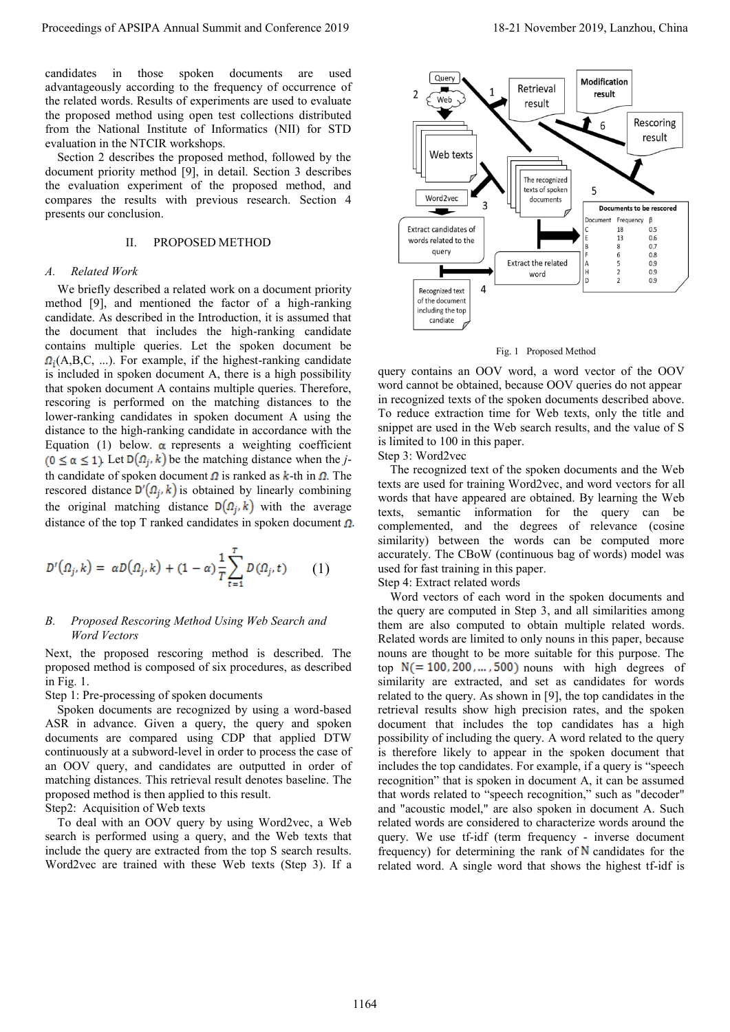candidates in those spoken documents are used advantageously according to the frequency of occurrence of the related words. Results of experiments are used to evaluate the proposed method using open test collections distributed from the National Institute of Informatics (NII) for STD evaluation in the NTCIR workshops.

Section 2 describes the proposed method, followed by the document priority method [9], in detail. Section 3 describes the evaluation experiment of the proposed method, and compares the results with previous research. Section 4 presents our conclusion.

## II. PROPOSED METHOD

#### *A. Related Work*

We briefly described a related work on a document priority method [9], and mentioned the factor of a high-ranking candidate. As described in the Introduction, it is assumed that the document that includes the high-ranking candidate contains multiple queries. Let the spoken document be  $\Omega_i(A, B, C, ...)$ . For example, if the highest-ranking candidate is included in spoken document A, there is a high possibility that spoken document A contains multiple queries. Therefore, rescoring is performed on the matching distances to the lower-ranking candidates in spoken document A using the distance to the high-ranking candidate in accordance with the Equation (1) below.  $\alpha$  represents a weighting coefficient  $(0 \le \alpha \le 1)$ . Let  $D(\Omega_i, k)$  be the matching distance when the *j*th candidate of spoken document  $\Omega$  is ranked as  $k$ -th in  $\Omega$ . The rescored distance  $D'(\Omega_i, k)$  is obtained by linearly combining the original matching distance  $D(\Omega_i, k)$  with the average distance of the top T ranked candidates in spoken document  $\Omega$ .

$$
D^{t}(\Omega_{j},k) = \alpha D(\Omega_{j},k) + (1-\alpha) \frac{1}{T} \sum_{t=1}^{T} D(\Omega_{j},t) \qquad (1)
$$

### *B. Proposed Rescoring Method Using Web Search and Word Vectors*

Next, the proposed rescoring method is described. The proposed method is composed of six procedures, as described in Fig. 1.

Step 1: Pre-processing of spoken documents

Spoken documents are recognized by using a word-based ASR in advance. Given a query, the query and spoken documents are compared using CDP that applied DTW continuously at a subword-level in order to process the case of an OOV query, and candidates are outputted in order of matching distances. This retrieval result denotes baseline. The proposed method is then applied to this result.

Step2: Acquisition of Web texts

To deal with an OOV query by using Word2vec, a Web search is performed using a query, and the Web texts that include the query are extracted from the top S search results. Word2vec are trained with these Web texts (Step 3). If a



Fig. 1 Proposed Method

query contains an OOV word, a word vector of the OOV word cannot be obtained, because OOV queries do not appear in recognized texts of the spoken documents described above. To reduce extraction time for Web texts, only the title and snippet are used in the Web search results, and the value of S is limited to 100 in this paper.

Step 3: Word2vec

The recognized text of the spoken documents and the Web texts are used for training Word2vec, and word vectors for all words that have appeared are obtained. By learning the Web texts, semantic information for the query can be complemented, and the degrees of relevance (cosine similarity) between the words can be computed more accurately. The CBoW (continuous bag of words) model was used for fast training in this paper.

Step 4: Extract related words

Word vectors of each word in the spoken documents and the query are computed in Step 3, and all similarities among them are also computed to obtain multiple related words. Related words are limited to only nouns in this paper, because nouns are thought to be more suitable for this purpose. The top  $N(=100, 200, \dots, 500)$  nouns with high degrees of similarity are extracted, and set as candidates for words related to the query. As shown in [9], the top candidates in the retrieval results show high precision rates, and the spoken document that includes the top candidates has a high possibility of including the query. A word related to the query is therefore likely to appear in the spoken document that includes the top candidates. For example, if a query is "speech recognition" that is spoken in document A, it can be assumed that words related to "speech recognition," such as "decoder" and "acoustic model," are also spoken in document A. Such related words are considered to characterize words around the query. We use tf-idf (term frequency - inverse document frequency) for determining the rank of  $N$  candidates for the related word. A single word that shows the highest tf-idf is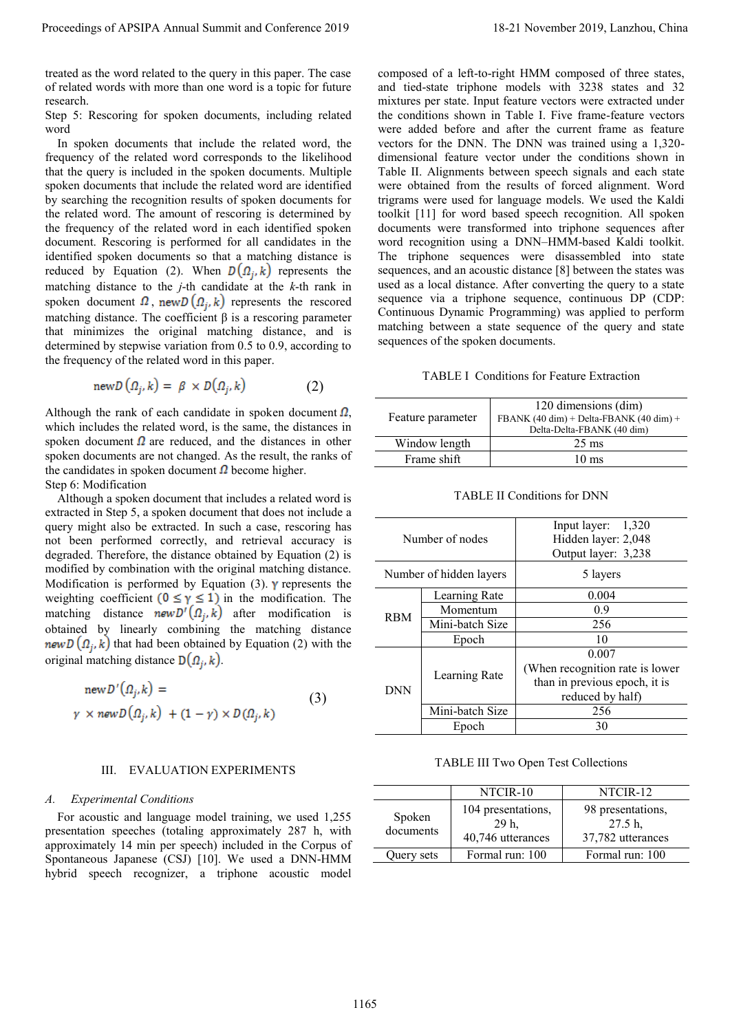treated as the word related to the query in this paper. The case of related words with more than one word is a topic for future research.

Step 5: Rescoring for spoken documents, including related word

In spoken documents that include the related word, the frequency of the related word corresponds to the likelihood that the query is included in the spoken documents. Multiple spoken documents that include the related word are identified by searching the recognition results of spoken documents for the related word. The amount of rescoring is determined by the frequency of the related word in each identified spoken document. Rescoring is performed for all candidates in the identified spoken documents so that a matching distance is reduced by Equation (2). When  $D(\Omega_j, k)$  represents the matching distance to the *j*-th candidate at the *k*-th rank in spoken document  $\Omega$ , new  $D(\Omega_i, k)$  represents the rescored matching distance. The coefficient β is a rescoring parameter that minimizes the original matching distance, and is determined by stepwise variation from 0.5 to 0.9, according to the frequency of the related word in this paper.

$$
newD(\Omega_j, k) = \beta \times D(\Omega_j, k) \tag{2}
$$

Although the rank of each candidate in spoken document  $\Omega$ , which includes the related word, is the same, the distances in spoken document  $\Omega$  are reduced, and the distances in other spoken documents are not changed. As the result, the ranks of the candidates in spoken document  $\Omega$  become higher. Step 6: Modification

Although a spoken document that includes a related word is extracted in Step 5, a spoken document that does not include a query might also be extracted. In such a case, rescoring has not been performed correctly, and retrieval accuracy is degraded. Therefore, the distance obtained by Equation (2) is modified by combination with the original matching distance. Modification is performed by Equation (3).  $\gamma$  represents the weighting coefficient  $(0 \le \gamma \le 1)$  in the modification. The matching distance  $newD'(\Omega_i, k)$  after modification is obtained by linearly combining the matching distance new  $D(\Omega_i, k)$  that had been obtained by Equation (2) with the original matching distance  $D(\Omega_i, k)$ .

$$
newD'(\Omega_j, k) =
$$
  
\n
$$
\gamma \times newD(\Omega_j, k) + (1 - \gamma) \times D(\Omega_j, k)
$$
\n(3)

#### III. EVALUATION EXPERIMENTS

#### *A. Experimental Conditions*

For acoustic and language model training, we used 1,255 presentation speeches (totaling approximately 287 h, with approximately 14 min per speech) included in the Corpus of Spontaneous Japanese (CSJ) [10]. We used a DNN-HMM hybrid speech recognizer, a triphone acoustic model

composed of a left-to-right HMM composed of three states, and tied-state triphone models with 3238 states and 32 mixtures per state. Input feature vectors were extracted under the conditions shown in Table I. Five frame-feature vectors were added before and after the current frame as feature vectors for the DNN. The DNN was trained using a 1,320 dimensional feature vector under the conditions shown in Table II. Alignments between speech signals and each state were obtained from the results of forced alignment. Word trigrams were used for language models. We used the Kaldi toolkit [11] for word based speech recognition. All spoken documents were transformed into triphone sequences after word recognition using a DNN–HMM-based Kaldi toolkit. The triphone sequences were disassembled into state sequences, and an acoustic distance [8] between the states was used as a local distance. After converting the query to a state sequence via a triphone sequence, continuous DP (CDP: Continuous Dynamic Programming) was applied to perform matching between a state sequence of the query and state sequences of the spoken documents. Proceedings of APSIPA Annual Summit at China 2018<br>
Horses and Summit and Summit and Summit and Summit and Summit and Summit and Summit and Summit and Summit and Summit and Summit and Summit and Summit and Summit and Summi

## TABLE I Conditions for Feature Extraction

| Feature parameter | 120 dimensions (dim)<br>FBANK $(40 \text{ dim})$ + Delta-FBANK $(40 \text{ dim})$ +<br>Delta-Delta-FBANK (40 dim) |
|-------------------|-------------------------------------------------------------------------------------------------------------------|
| Window length     | $25 \text{ ms}$                                                                                                   |
| Frame shift       | $10 \text{ ms}$                                                                                                   |

| Number of nodes         |                 | Input layer: 1,320<br>Hidden layer: 2,048<br>Output layer: 3,238 |
|-------------------------|-----------------|------------------------------------------------------------------|
| Number of hidden layers |                 | 5 layers                                                         |
| <b>RBM</b>              | Learning Rate   | 0.004                                                            |
|                         | Momentum        | 0.9                                                              |
|                         | Mini-batch Size | 256                                                              |
|                         | Epoch           | 10                                                               |
| <b>DNN</b>              | Learning Rate   | 0.007                                                            |
|                         |                 | (When recognition rate is lower)                                 |
|                         |                 | than in previous epoch, it is                                    |
|                         |                 | reduced by half)                                                 |
|                         | Mini-batch Size | 256                                                              |
|                         | Epoch           | 30                                                               |

#### TABLE II Conditions for DNN

TABLE III Two Open Test Collections

|                     | NTCIR-10                                         | NTCIR-12                                          |
|---------------------|--------------------------------------------------|---------------------------------------------------|
| Spoken<br>documents | 104 presentations,<br>29 h.<br>40,746 utterances | 98 presentations,<br>27.5 h,<br>37,782 utterances |
| Ouery sets          | Formal run: 100                                  | Formal run: 100                                   |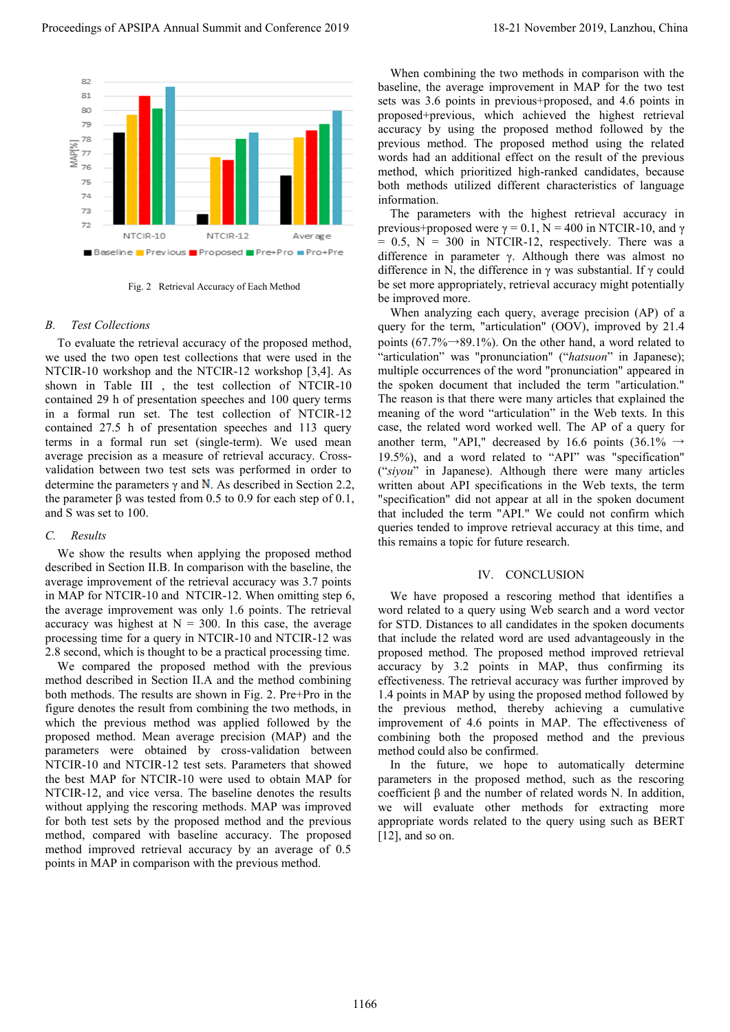

Fig. 2 Retrieval Accuracy of Each Method

# *B. Test Collections*

To evaluate the retrieval accuracy of the proposed method, we used the two open test collections that were used in the NTCIR-10 workshop and the NTCIR-12 workshop [3,4]. As shown in Table III , the test collection of NTCIR-10 contained 29 h of presentation speeches and 100 query terms in a formal run set. The test collection of NTCIR-12 contained 27.5 h of presentation speeches and 113 query terms in a formal run set (single-term). We used mean average precision as a measure of retrieval accuracy. Crossvalidation between two test sets was performed in order to determine the parameters  $\gamma$  and N. As described in Section 2.2, the parameter β was tested from 0.5 to 0.9 for each step of 0.1, and S was set to 100.

## *C. Results*

We show the results when applying the proposed method described in Section II.B. In comparison with the baseline, the average improvement of the retrieval accuracy was 3.7 points in MAP for NTCIR-10 and NTCIR-12. When omitting step 6, the average improvement was only 1.6 points. The retrieval accuracy was highest at  $N = 300$ . In this case, the average processing time for a query in NTCIR-10 and NTCIR-12 was 2.8 second, which is thought to be a practical processing time.

We compared the proposed method with the previous method described in Section II.A and the method combining both methods. The results are shown in Fig. 2. Pre+Pro in the figure denotes the result from combining the two methods, in which the previous method was applied followed by the proposed method. Mean average precision (MAP) and the parameters were obtained by cross-validation between NTCIR-10 and NTCIR-12 test sets. Parameters that showed the best MAP for NTCIR-10 were used to obtain MAP for NTCIR-12, and vice versa. The baseline denotes the results without applying the rescoring methods. MAP was improved for both test sets by the proposed method and the previous method, compared with baseline accuracy. The proposed method improved retrieval accuracy by an average of 0.5 points in MAP in comparison with the previous method.

When combining the two methods in comparison with the baseline, the average improvement in MAP for the two test sets was 3.6 points in previous+proposed, and 4.6 points in proposed+previous, which achieved the highest retrieval accuracy by using the proposed method followed by the previous method. The proposed method using the related words had an additional effect on the result of the previous method, which prioritized high-ranked candidates, because both methods utilized different characteristics of language information.

The parameters with the highest retrieval accuracy in previous+proposed were  $\gamma = 0.1$ , N = 400 in NTCIR-10, and  $\gamma$  $= 0.5$ ,  $N = 300$  in NTCIR-12, respectively. There was a difference in parameter γ. Although there was almost no difference in N, the difference in  $\gamma$  was substantial. If  $\gamma$  could be set more appropriately, retrieval accuracy might potentially be improved more.

When analyzing each query, average precision (AP) of a query for the term, "articulation" (OOV), improved by 21.4 points (67.7% $\rightarrow$ 89.1%). On the other hand, a word related to "articulation" was "pronunciation" ("hatsuon" in Japanese); multiple occurrences of the word "pronunciation" appeared in the spoken document that included the term "articulation." The reason is that there were many articles that explained the meaning of the word "articulation" in the Web texts. In this case, the related word worked well. The AP of a query for another term, "API," decreased by 16.6 points (36.1%  $\rightarrow$ 19.5%), and a word related to "API" was "specification" ("*siyou*" in Japanese). Although there were many articles written about API specifications in the Web texts, the term "specification" did not appear at all in the spoken document that included the term "API." We could not confirm which queries tended to improve retrieval accuracy at this time, and this remains a topic for future research. Proceeding of APSIPA Annual Summit at the forest of APSIPA Annual Summit and Summit and Summit and Summit and Summit and Summit and Summit and Summit and Summit and Summit and Summit and Summit and Summit and Summit and S

### IV. CONCLUSION

We have proposed a rescoring method that identifies a word related to a query using Web search and a word vector for STD. Distances to all candidates in the spoken documents that include the related word are used advantageously in the proposed method. The proposed method improved retrieval accuracy by 3.2 points in MAP, thus confirming its effectiveness. The retrieval accuracy was further improved by 1.4 points in MAP by using the proposed method followed by the previous method, thereby achieving a cumulative improvement of 4.6 points in MAP. The effectiveness of combining both the proposed method and the previous method could also be confirmed.

In the future, we hope to automatically determine parameters in the proposed method, such as the rescoring coefficient β and the number of related words N. In addition, we will evaluate other methods for extracting more appropriate words related to the query using such as BERT [12], and so on.